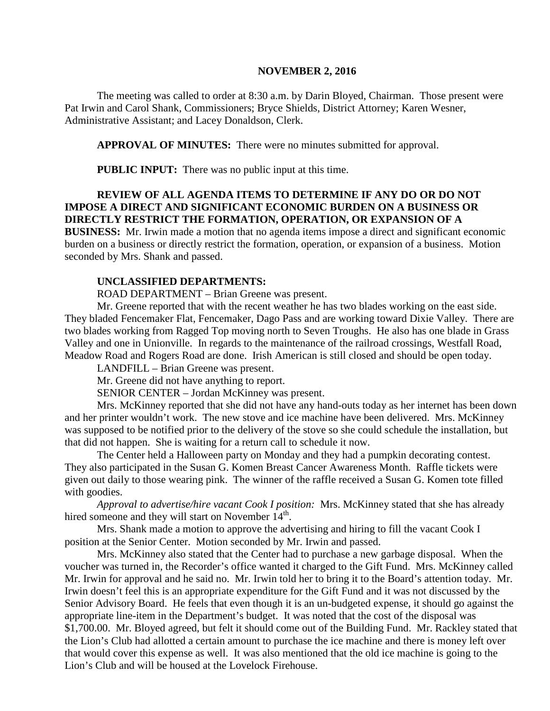#### **NOVEMBER 2, 2016**

The meeting was called to order at 8:30 a.m. by Darin Bloyed, Chairman. Those present were Pat Irwin and Carol Shank, Commissioners; Bryce Shields, District Attorney; Karen Wesner, Administrative Assistant; and Lacey Donaldson, Clerk.

**APPROVAL OF MINUTES:** There were no minutes submitted for approval.

 **PUBLIC INPUT:** There was no public input at this time.

### **REVIEW OF ALL AGENDA ITEMS TO DETERMINE IF ANY DO OR DO NOT IMPOSE A DIRECT AND SIGNIFICANT ECONOMIC BURDEN ON A BUSINESS OR DIRECTLY RESTRICT THE FORMATION, OPERATION, OR EXPANSION OF A**

**BUSINESS:** Mr. Irwin made a motion that no agenda items impose a direct and significant economic burden on a business or directly restrict the formation, operation, or expansion of a business. Motion seconded by Mrs. Shank and passed.

### **UNCLASSIFIED DEPARTMENTS:**

ROAD DEPARTMENT – Brian Greene was present.

Mr. Greene reported that with the recent weather he has two blades working on the east side. They bladed Fencemaker Flat, Fencemaker, Dago Pass and are working toward Dixie Valley. There are two blades working from Ragged Top moving north to Seven Troughs. He also has one blade in Grass Valley and one in Unionville. In regards to the maintenance of the railroad crossings, Westfall Road, Meadow Road and Rogers Road are done. Irish American is still closed and should be open today.

LANDFILL – Brian Greene was present.

Mr. Greene did not have anything to report.

SENIOR CENTER – Jordan McKinney was present.

Mrs. McKinney reported that she did not have any hand-outs today as her internet has been down and her printer wouldn't work. The new stove and ice machine have been delivered. Mrs. McKinney was supposed to be notified prior to the delivery of the stove so she could schedule the installation, but that did not happen. She is waiting for a return call to schedule it now.

The Center held a Halloween party on Monday and they had a pumpkin decorating contest. They also participated in the Susan G. Komen Breast Cancer Awareness Month. Raffle tickets were given out daily to those wearing pink. The winner of the raffle received a Susan G. Komen tote filled with goodies.

*Approval to advertise/hire vacant Cook I position:* Mrs. McKinney stated that she has already hired someone and they will start on November  $14<sup>th</sup>$ .

Mrs. Shank made a motion to approve the advertising and hiring to fill the vacant Cook I position at the Senior Center. Motion seconded by Mr. Irwin and passed.

Mrs. McKinney also stated that the Center had to purchase a new garbage disposal. When the voucher was turned in, the Recorder's office wanted it charged to the Gift Fund. Mrs. McKinney called Mr. Irwin for approval and he said no. Mr. Irwin told her to bring it to the Board's attention today. Mr. Irwin doesn't feel this is an appropriate expenditure for the Gift Fund and it was not discussed by the Senior Advisory Board. He feels that even though it is an un-budgeted expense, it should go against the appropriate line-item in the Department's budget. It was noted that the cost of the disposal was \$1,700.00. Mr. Bloyed agreed, but felt it should come out of the Building Fund. Mr. Rackley stated that the Lion's Club had allotted a certain amount to purchase the ice machine and there is money left over that would cover this expense as well. It was also mentioned that the old ice machine is going to the Lion's Club and will be housed at the Lovelock Firehouse.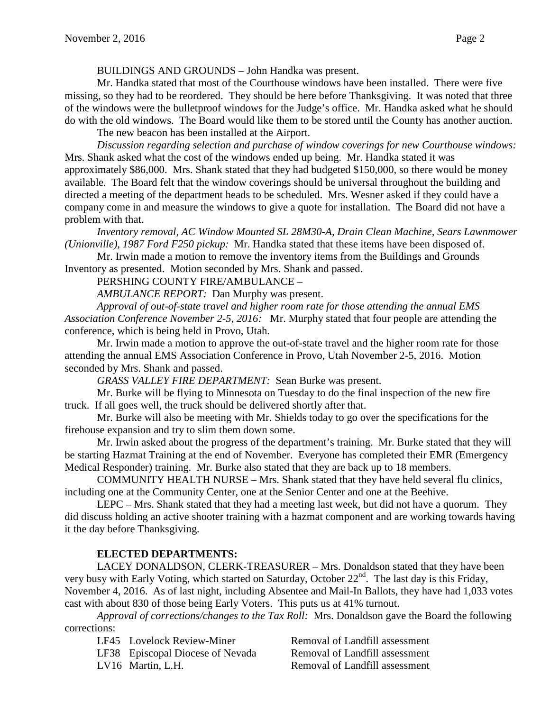BUILDINGS AND GROUNDS – John Handka was present.

Mr. Handka stated that most of the Courthouse windows have been installed. There were five missing, so they had to be reordered. They should be here before Thanksgiving. It was noted that three of the windows were the bulletproof windows for the Judge's office. Mr. Handka asked what he should do with the old windows. The Board would like them to be stored until the County has another auction.

The new beacon has been installed at the Airport.

*Discussion regarding selection and purchase of window coverings for new Courthouse windows:* Mrs. Shank asked what the cost of the windows ended up being. Mr. Handka stated it was approximately \$86,000. Mrs. Shank stated that they had budgeted \$150,000, so there would be money available. The Board felt that the window coverings should be universal throughout the building and directed a meeting of the department heads to be scheduled. Mrs. Wesner asked if they could have a company come in and measure the windows to give a quote for installation. The Board did not have a problem with that.

*Inventory removal, AC Window Mounted SL 28M30-A, Drain Clean Machine, Sears Lawnmower (Unionville), 1987 Ford F250 pickup:* Mr. Handka stated that these items have been disposed of.

Mr. Irwin made a motion to remove the inventory items from the Buildings and Grounds Inventory as presented. Motion seconded by Mrs. Shank and passed.

PERSHING COUNTY FIRE/AMBULANCE –

*AMBULANCE REPORT:* Dan Murphy was present.

*Approval of out-of-state travel and higher room rate for those attending the annual EMS Association Conference November 2-5, 2016:* Mr. Murphy stated that four people are attending the conference, which is being held in Provo, Utah.

Mr. Irwin made a motion to approve the out-of-state travel and the higher room rate for those attending the annual EMS Association Conference in Provo, Utah November 2-5, 2016. Motion seconded by Mrs. Shank and passed.

*GRASS VALLEY FIRE DEPARTMENT:* Sean Burke was present.

Mr. Burke will be flying to Minnesota on Tuesday to do the final inspection of the new fire truck. If all goes well, the truck should be delivered shortly after that.

Mr. Burke will also be meeting with Mr. Shields today to go over the specifications for the firehouse expansion and try to slim them down some.

Mr. Irwin asked about the progress of the department's training. Mr. Burke stated that they will be starting Hazmat Training at the end of November. Everyone has completed their EMR (Emergency Medical Responder) training. Mr. Burke also stated that they are back up to 18 members.

COMMUNITY HEALTH NURSE – Mrs. Shank stated that they have held several flu clinics, including one at the Community Center, one at the Senior Center and one at the Beehive.

LEPC – Mrs. Shank stated that they had a meeting last week, but did not have a quorum. They did discuss holding an active shooter training with a hazmat component and are working towards having it the day before Thanksgiving.

## **ELECTED DEPARTMENTS:**

LACEY DONALDSON, CLERK-TREASURER – Mrs. Donaldson stated that they have been very busy with Early Voting, which started on Saturday, October 22<sup>nd</sup>. The last day is this Friday, November 4, 2016. As of last night, including Absentee and Mail-In Ballots, they have had 1,033 votes cast with about 830 of those being Early Voters. This puts us at 41% turnout.

*Approval of corrections/changes to the Tax Roll:* Mrs. Donaldson gave the Board the following corrections:

LF45 Lovelock Review-Miner Removal of Landfill assessment

LF38 Episcopal Diocese of Nevada Removal of Landfill assessment

LV16 Martin, L.H. Removal of Landfill assessment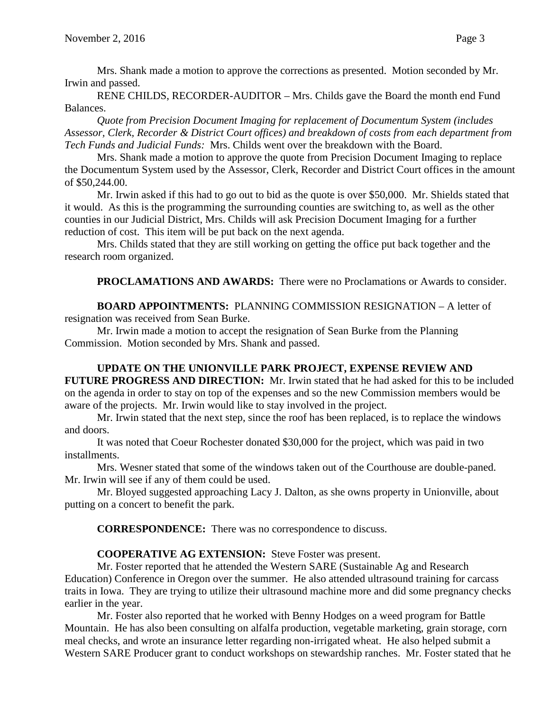Mrs. Shank made a motion to approve the corrections as presented. Motion seconded by Mr. Irwin and passed.

RENE CHILDS, RECORDER-AUDITOR – Mrs. Childs gave the Board the month end Fund Balances.

*Quote from Precision Document Imaging for replacement of Documentum System (includes Assessor, Clerk, Recorder & District Court offices) and breakdown of costs from each department from Tech Funds and Judicial Funds:* Mrs. Childs went over the breakdown with the Board.

Mrs. Shank made a motion to approve the quote from Precision Document Imaging to replace the Documentum System used by the Assessor, Clerk, Recorder and District Court offices in the amount of \$50,244.00.

Mr. Irwin asked if this had to go out to bid as the quote is over \$50,000. Mr. Shields stated that it would. As this is the programming the surrounding counties are switching to, as well as the other counties in our Judicial District, Mrs. Childs will ask Precision Document Imaging for a further reduction of cost. This item will be put back on the next agenda.

Mrs. Childs stated that they are still working on getting the office put back together and the research room organized.

**PROCLAMATIONS AND AWARDS:** There were no Proclamations or Awards to consider.

**BOARD APPOINTMENTS:** PLANNING COMMISSION RESIGNATION – A letter of resignation was received from Sean Burke.

Mr. Irwin made a motion to accept the resignation of Sean Burke from the Planning Commission. Motion seconded by Mrs. Shank and passed.

## **UPDATE ON THE UNIONVILLE PARK PROJECT, EXPENSE REVIEW AND FUTURE PROGRESS AND DIRECTION:** Mr. Irwin stated that he had asked for this to be included on the agenda in order to stay on top of the expenses and so the new Commission members would be aware of the projects. Mr. Irwin would like to stay involved in the project.

Mr. Irwin stated that the next step, since the roof has been replaced, is to replace the windows and doors.

It was noted that Coeur Rochester donated \$30,000 for the project, which was paid in two installments.

Mrs. Wesner stated that some of the windows taken out of the Courthouse are double-paned. Mr. Irwin will see if any of them could be used.

Mr. Bloyed suggested approaching Lacy J. Dalton, as she owns property in Unionville, about putting on a concert to benefit the park.

**CORRESPONDENCE:** There was no correspondence to discuss.

## **COOPERATIVE AG EXTENSION:** Steve Foster was present.

Mr. Foster reported that he attended the Western SARE (Sustainable Ag and Research Education) Conference in Oregon over the summer. He also attended ultrasound training for carcass traits in Iowa. They are trying to utilize their ultrasound machine more and did some pregnancy checks earlier in the year.

Mr. Foster also reported that he worked with Benny Hodges on a weed program for Battle Mountain. He has also been consulting on alfalfa production, vegetable marketing, grain storage, corn meal checks, and wrote an insurance letter regarding non-irrigated wheat. He also helped submit a Western SARE Producer grant to conduct workshops on stewardship ranches. Mr. Foster stated that he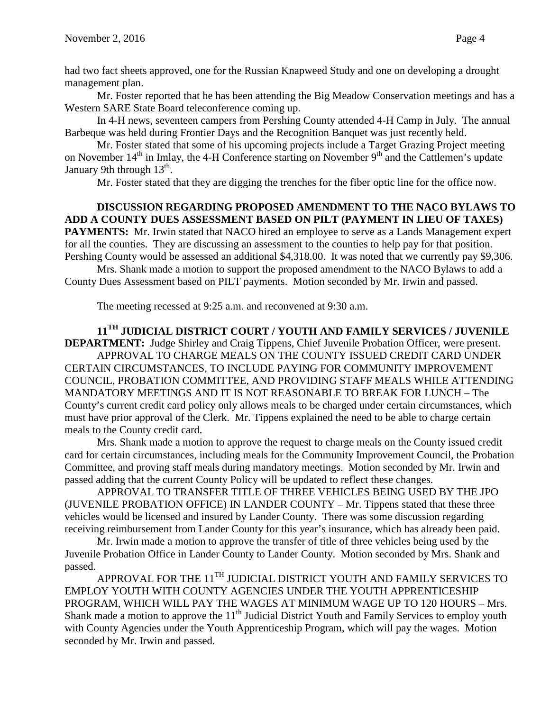had two fact sheets approved, one for the Russian Knapweed Study and one on developing a drought management plan.

Mr. Foster reported that he has been attending the Big Meadow Conservation meetings and has a Western SARE State Board teleconference coming up.

In 4-H news, seventeen campers from Pershing County attended 4-H Camp in July. The annual Barbeque was held during Frontier Days and the Recognition Banquet was just recently held.

Mr. Foster stated that some of his upcoming projects include a Target Grazing Project meeting on November  $14<sup>th</sup>$  in Imlay, the 4-H Conference starting on November  $9<sup>th</sup>$  and the Cattlemen's update January 9th through  $13<sup>th</sup>$ .

Mr. Foster stated that they are digging the trenches for the fiber optic line for the office now.

## **DISCUSSION REGARDING PROPOSED AMENDMENT TO THE NACO BYLAWS TO ADD A COUNTY DUES ASSESSMENT BASED ON PILT (PAYMENT IN LIEU OF TAXES)**

**PAYMENTS:** Mr. Irwin stated that NACO hired an employee to serve as a Lands Management expert for all the counties. They are discussing an assessment to the counties to help pay for that position. Pershing County would be assessed an additional \$4,318.00. It was noted that we currently pay \$9,306.

Mrs. Shank made a motion to support the proposed amendment to the NACO Bylaws to add a County Dues Assessment based on PILT payments. Motion seconded by Mr. Irwin and passed.

The meeting recessed at 9:25 a.m. and reconvened at 9:30 a.m.

# **11TH JUDICIAL DISTRICT COURT / YOUTH AND FAMILY SERVICES / JUVENILE**

**DEPARTMENT:** Judge Shirley and Craig Tippens, Chief Juvenile Probation Officer, were present. APPROVAL TO CHARGE MEALS ON THE COUNTY ISSUED CREDIT CARD UNDER CERTAIN CIRCUMSTANCES, TO INCLUDE PAYING FOR COMMUNITY IMPROVEMENT COUNCIL, PROBATION COMMITTEE, AND PROVIDING STAFF MEALS WHILE ATTENDING MANDATORY MEETINGS AND IT IS NOT REASONABLE TO BREAK FOR LUNCH – The County's current credit card policy only allows meals to be charged under certain circumstances, which must have prior approval of the Clerk. Mr. Tippens explained the need to be able to charge certain meals to the County credit card.

Mrs. Shank made a motion to approve the request to charge meals on the County issued credit card for certain circumstances, including meals for the Community Improvement Council, the Probation Committee, and proving staff meals during mandatory meetings. Motion seconded by Mr. Irwin and passed adding that the current County Policy will be updated to reflect these changes.

APPROVAL TO TRANSFER TITLE OF THREE VEHICLES BEING USED BY THE JPO (JUVENILE PROBATION OFFICE) IN LANDER COUNTY – Mr. Tippens stated that these three vehicles would be licensed and insured by Lander County. There was some discussion regarding receiving reimbursement from Lander County for this year's insurance, which has already been paid.

Mr. Irwin made a motion to approve the transfer of title of three vehicles being used by the Juvenile Probation Office in Lander County to Lander County. Motion seconded by Mrs. Shank and passed.

APPROVAL FOR THE 11<sup>TH</sup> JUDICIAL DISTRICT YOUTH AND FAMILY SERVICES TO EMPLOY YOUTH WITH COUNTY AGENCIES UNDER THE YOUTH APPRENTICESHIP PROGRAM, WHICH WILL PAY THE WAGES AT MINIMUM WAGE UP TO 120 HOURS – Mrs. Shank made a motion to approve the  $11<sup>th</sup>$  Judicial District Youth and Family Services to employ youth with County Agencies under the Youth Apprenticeship Program, which will pay the wages. Motion seconded by Mr. Irwin and passed.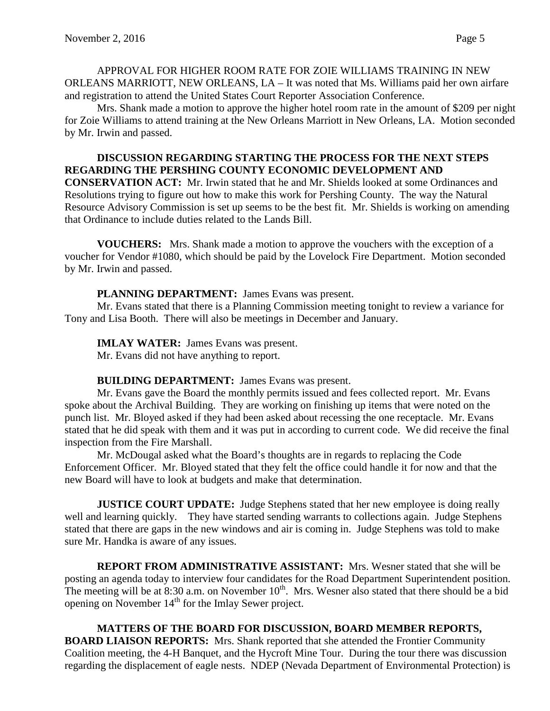APPROVAL FOR HIGHER ROOM RATE FOR ZOIE WILLIAMS TRAINING IN NEW ORLEANS MARRIOTT, NEW ORLEANS, LA – It was noted that Ms. Williams paid her own airfare and registration to attend the United States Court Reporter Association Conference.

Mrs. Shank made a motion to approve the higher hotel room rate in the amount of \$209 per night for Zoie Williams to attend training at the New Orleans Marriott in New Orleans, LA. Motion seconded by Mr. Irwin and passed.

### **DISCUSSION REGARDING STARTING THE PROCESS FOR THE NEXT STEPS REGARDING THE PERSHING COUNTY ECONOMIC DEVELOPMENT AND**

**CONSERVATION ACT:** Mr. Irwin stated that he and Mr. Shields looked at some Ordinances and Resolutions trying to figure out how to make this work for Pershing County. The way the Natural Resource Advisory Commission is set up seems to be the best fit. Mr. Shields is working on amending that Ordinance to include duties related to the Lands Bill.

**VOUCHERS:** Mrs. Shank made a motion to approve the vouchers with the exception of a voucher for Vendor #1080, which should be paid by the Lovelock Fire Department. Motion seconded by Mr. Irwin and passed.

## **PLANNING DEPARTMENT:** James Evans was present.

Mr. Evans stated that there is a Planning Commission meeting tonight to review a variance for Tony and Lisa Booth. There will also be meetings in December and January.

**IMLAY WATER:** James Evans was present.

Mr. Evans did not have anything to report.

## **BUILDING DEPARTMENT:** James Evans was present.

Mr. Evans gave the Board the monthly permits issued and fees collected report. Mr. Evans spoke about the Archival Building. They are working on finishing up items that were noted on the punch list. Mr. Bloyed asked if they had been asked about recessing the one receptacle. Mr. Evans stated that he did speak with them and it was put in according to current code. We did receive the final inspection from the Fire Marshall.

Mr. McDougal asked what the Board's thoughts are in regards to replacing the Code Enforcement Officer. Mr. Bloyed stated that they felt the office could handle it for now and that the new Board will have to look at budgets and make that determination.

**JUSTICE COURT UPDATE:** Judge Stephens stated that her new employee is doing really well and learning quickly. They have started sending warrants to collections again. Judge Stephens stated that there are gaps in the new windows and air is coming in. Judge Stephens was told to make sure Mr. Handka is aware of any issues.

**REPORT FROM ADMINISTRATIVE ASSISTANT:** Mrs. Wesner stated that she will be posting an agenda today to interview four candidates for the Road Department Superintendent position. The meeting will be at  $8:30$  a.m. on November  $10<sup>th</sup>$ . Mrs. Wesner also stated that there should be a bid opening on November  $14<sup>th</sup>$  for the Imlay Sewer project.

**MATTERS OF THE BOARD FOR DISCUSSION, BOARD MEMBER REPORTS, BOARD LIAISON REPORTS:** Mrs. Shank reported that she attended the Frontier Community Coalition meeting, the 4-H Banquet, and the Hycroft Mine Tour. During the tour there was discussion regarding the displacement of eagle nests. NDEP (Nevada Department of Environmental Protection) is